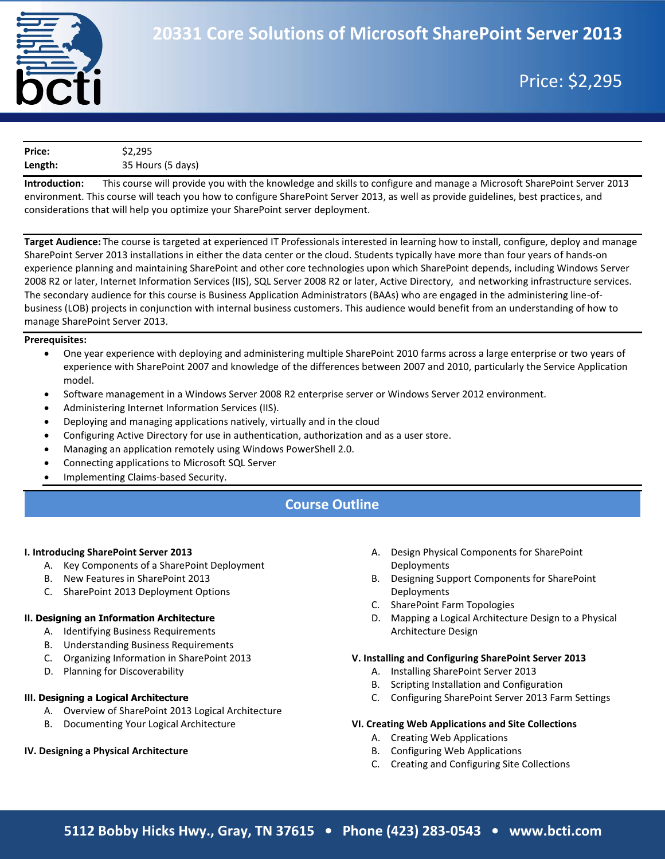

## Price: \$2,295

| Price:  | \$2,295           |  |
|---------|-------------------|--|
| Length: | 35 Hours (5 days) |  |

**Introduction:** This course will provide you with the knowledge and skills to configure and manage a Microsoft SharePoint Server 2013 environment. This course will teach you how to configure SharePoint Server 2013, as well as provide guidelines, best practices, and considerations that will help you optimize your SharePoint server deployment.

**Target Audience:** The course is targeted at experienced IT Professionals interested in learning how to install, configure, deploy and manage SharePoint Server 2013 installations in either the data center or the cloud. Students typically have more than four years of hands-on experience planning and maintaining SharePoint and other core technologies upon which SharePoint depends, including Windows Server 2008 R2 or later, Internet Information Services (IIS), SQL Server 2008 R2 or later, Active Directory, and networking infrastructure services. The secondary audience for this course is Business Application Administrators (BAAs) who are engaged in the administering line-ofbusiness (LOB) projects in conjunction with internal business customers. This audience would benefit from an understanding of how to manage SharePoint Server 2013.

### **Prerequisites:**

- One year experience with deploying and administering multiple SharePoint 2010 farms across a large enterprise or two years of experience with SharePoint 2007 and knowledge of the differences between 2007 and 2010, particularly the Service Application model.
- Software management in a Windows Server 2008 R2 enterprise server or Windows Server 2012 environment.
- Administering Internet Information Services (IIS).
- Deploying and managing applications natively, virtually and in the cloud
- Configuring Active Directory for use in authentication, authorization and as a user store.
- Managing an application remotely using Windows PowerShell 2.0.
- Connecting applications to Microsoft SQL Server
- Implementing Claims-based Security.

### **Course Outline**

#### **I. Introducing SharePoint Server 2013**

- A. Key Components of a SharePoint Deployment
- B. New Features in SharePoint 2013
- C. SharePoint 2013 Deployment Options

### **II. Designing an Information Architecture**

- A. Identifying Business Requirements
- B. Understanding Business Requirements
- C. Organizing Information in SharePoint 2013
- D. Planning for Discoverability

### **III. Designing a Logical Architecture**

- A. Overview of SharePoint 2013 Logical Architecture
- B. Documenting Your Logical Architecture

### **IV. Designing a Physical Architecture**

- A. Design Physical Components for SharePoint Deployments
- B. Designing Support Components for SharePoint Deployments
- C. SharePoint Farm Topologies
- D. Mapping a Logical Architecture Design to a Physical Architecture Design

#### **V. Installing and Configuring SharePoint Server 2013**

- A. Installing SharePoint Server 2013
- B. Scripting Installation and Configuration
- C. Configuring SharePoint Server 2013 Farm Settings

### **VI. Creating Web Applications and Site Collections**

- A. Creating Web Applications
- B. Configuring Web Applications
- C. Creating and Configuring Site Collections